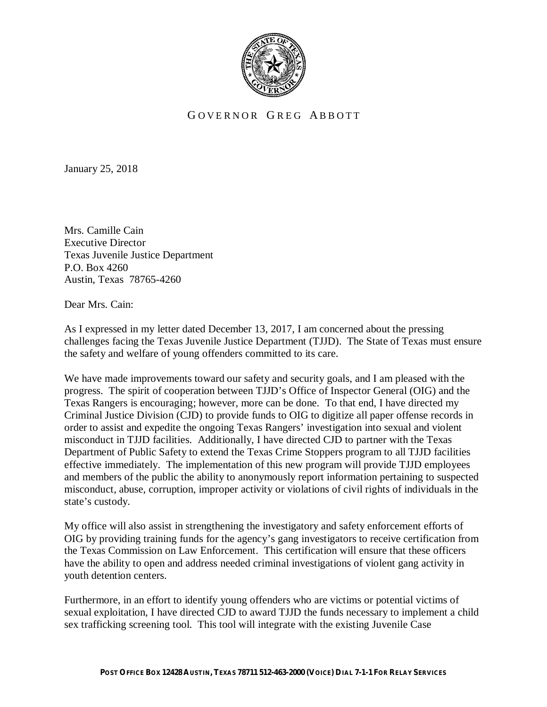

## GOVERNOR GREG ABBOTT

January 25, 2018

Mrs. Camille Cain Executive Director Texas Juvenile Justice Department P.O. Box 4260 Austin, Texas 78765-4260

Dear Mrs. Cain:

As I expressed in my letter dated December 13, 2017, I am concerned about the pressing challenges facing the Texas Juvenile Justice Department (TJJD). The State of Texas must ensure the safety and welfare of young offenders committed to its care.

We have made improvements toward our safety and security goals, and I am pleased with the progress. The spirit of cooperation between TJJD's Office of Inspector General (OIG) and the Texas Rangers is encouraging; however, more can be done. To that end, I have directed my Criminal Justice Division (CJD) to provide funds to OIG to digitize all paper offense records in order to assist and expedite the ongoing Texas Rangers' investigation into sexual and violent misconduct in TJJD facilities. Additionally, I have directed CJD to partner with the Texas Department of Public Safety to extend the Texas Crime Stoppers program to all TJJD facilities effective immediately. The implementation of this new program will provide TJJD employees and members of the public the ability to anonymously report information pertaining to suspected misconduct, abuse, corruption, improper activity or violations of civil rights of individuals in the state's custody.

My office will also assist in strengthening the investigatory and safety enforcement efforts of OIG by providing training funds for the agency's gang investigators to receive certification from the Texas Commission on Law Enforcement. This certification will ensure that these officers have the ability to open and address needed criminal investigations of violent gang activity in youth detention centers.

Furthermore, in an effort to identify young offenders who are victims or potential victims of sexual exploitation, I have directed CJD to award TJJD the funds necessary to implement a child sex trafficking screening tool. This tool will integrate with the existing Juvenile Case